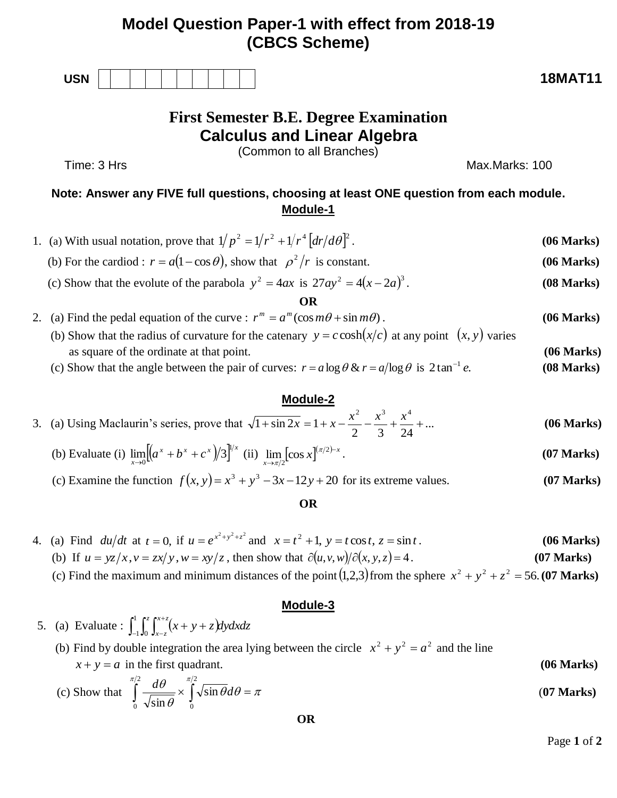# **Model Question Paper-1 with effect from 2018-19 (CBCS Scheme)**

| <b>USN</b> |  |  |  |  |  | <b>18MAT11</b> |
|------------|--|--|--|--|--|----------------|
|            |  |  |  |  |  |                |

# **First Semester B.E. Degree Examination Calculus and Linear Algebra**

(Common to all Branches)

# Time: 3 Hrs Max.Marks: 100

# **Note: Answer any FIVE full questions, choosing at least ONE question from each module. Module-1**

1. (a) With usual notation, prove that  $1/p^2 = 1/r^2 + 1/r^4 \left[ dr/d\theta \right]^2$ . (06 Marks)

- (b) For the cardiod :  $r = a(1 \cos \theta)$ , show that  $\rho^2/r$  is constant. **(06 Marks)**
- (c) Show that the evolute of the parabola  $y^2 = 4ax$  is  $27ay^2 = 4(x 2a)^3$ . (08 Marks)

#### **OR**

- 2. (a) Find the pedal equation of the curve :  $r^m = a^m(\cos m\theta + \sin m\theta)$ . (06 Marks) (b) Show that the radius of curvature for the catenary  $y = c \cosh(x/c)$  at any point  $(x, y)$  varies
	- as square of the ordinate at that point. **(06 Marks)** (c) Show that the angle between the pair of curves:  $r = a \log \theta \& r = a/\log \theta$  is  $2 \tan^{-1} e$ . (08 Marks) **(08 Marks)**

## **Module-2**

#### 3. (a) Using Maclaurin's series, prove that  $\sqrt{1 + \sin 2x} = 1 + x - \frac{x}{2} - \frac{x}{3} + \frac{x}{2} + ...$ 2 3 24  $1 + \sin 2x = 1$ 2  $3^{3}$   $\frac{4}{3}$  $\frac{x^2}{x^3} + \sin 2x = 1 + x - \frac{x^2}{x^2} - \frac{x^3}{x^3} + \frac{x^4}{x^4} + \dots$  (06 Marks)

(b) Evaluate (i) 
$$
\lim_{x\to 0} [(a^x + b^x + c^x)/3]^{1/x}
$$
 (ii)  $\lim_{x\to \pi/2} [\cos x]^{(\pi/2)-x}$ . (07 Marks)

(c) Examine the function  $f(x, y) = x^3 + y^3 - 3x - 12y + 20$  for its extreme values. **(07 Marks)** 

### **OR**

- 4. (a) Find  $du/dt$  at  $t = 0$ , if  $u = e^{x^2 + y^2 + z^2}$  and  $x = t^2 + 1$ ,  $y = t \cos t$ ,  $z = \sin t$ . (06 Marks) (b) If  $u = yz/x, v = zx/y, w = xy/z$ , then show that  $\partial(u, v, w)/\partial(x, y, z) = 4$ . (07 Marks)
- (c) Find the maximum and minimum distances of the point  $(1,2,3)$  from the sphere  $x^2 + y^2 + z^2 = 56$ . (07 Marks)

## **Module-3**

5. (a) Evaluate :  $\int_{-1}^{1} \int_{0}^{z} \int_{x-z}^{x+z} (x + y + z) dy dx dz$  $\int_{-1}^{1} \int_{0}^{z} \int_{x-z}^{x+z} (x+y+$  $1\mathbf{J}0$ 

(b) Find by double integration the area lying between the circle  $x^2 + y^2 = a^2$  and the line  $x + y = a$  in the first quadrant. **(06 Marks)** 

(c) Show that 
$$
\int_{0}^{\pi/2} \frac{d\theta}{\sqrt{\sin \theta}} \times \int_{0}^{\pi/2} \sqrt{\sin \theta} d\theta = \pi
$$
 (07 Marks)